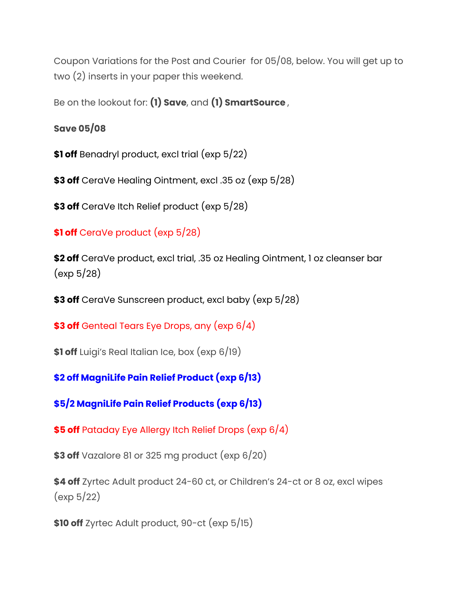Coupon Variations for the Post and Courier for 05/08, below. You will get up to two (2) inserts in your paper this weekend.

Be on the lookout for: **(1) Save**, and **(1) SmartSource** ,

**Save 05/08**

**\$1 off** Benadryl product, excl trial (exp 5/22)

**\$3 off** CeraVe Healing Ointment, excl .35 oz (exp 5/28)

**\$3 off** CeraVe Itch Relief product (exp 5/28)

**\$1 off** CeraVe product (exp 5/28)

**\$2 off** CeraVe product, excl trial, .35 oz Healing Ointment, 1 oz cleanser bar (exp 5/28)

**\$3 off** CeraVe Sunscreen product, excl baby (exp 5/28)

**\$3 off** Genteal Tears Eye Drops, any (exp 6/4)

**\$1 off** Luigi's Real Italian Ice, box (exp 6/19)

**\$2 off MagniLife Pain Relief Product (exp 6/13)**

**\$5/2 MagniLife Pain Relief Products (exp 6/13)**

**\$5 off** Pataday Eye Allergy Itch Relief Drops (exp 6/4)

**\$3 off** Vazalore 81 or 325 mg product (exp 6/20)

**\$4 off** Zyrtec Adult product 24-60 ct, or Children's 24-ct or 8 oz, excl wipes (exp 5/22)

**\$10 off** Zyrtec Adult product, 90-ct (exp 5/15)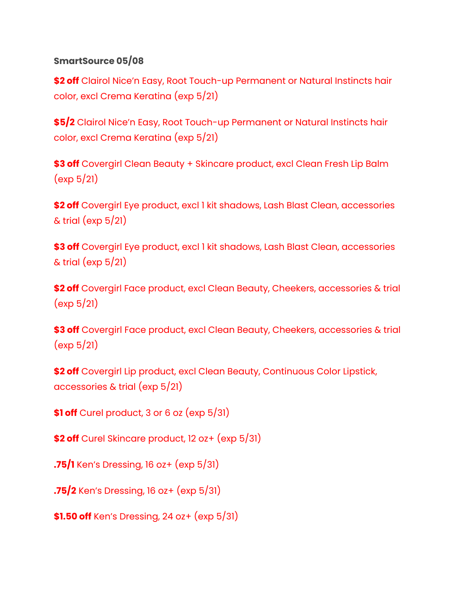## **SmartSource 05/08**

**\$2 off** Clairol Nice'n Easy, Root Touch-up Permanent or Natural Instincts hair color, excl Crema Keratina (exp 5/21)

**\$5/2** Clairol Nice'n Easy, Root Touch-up Permanent or Natural Instincts hair color, excl Crema Keratina (exp 5/21)

**\$3 off** Covergirl Clean Beauty + Skincare product, excl Clean Fresh Lip Balm (exp 5/21)

**\$2 off** Covergirl Eye product, excl 1 kit shadows, Lash Blast Clean, accessories  $\&$  trial (exp  $5/21$ )

**\$3 off** Covergirl Eye product, excl 1 kit shadows, Lash Blast Clean, accessories  $&$  trial (exp  $5/21$ )

**\$2 off** Covergirl Face product, excl Clean Beauty, Cheekers, accessories & trial (exp 5/21)

**\$3 off** Covergirl Face product, excl Clean Beauty, Cheekers, accessories & trial (exp 5/21)

**\$2 off** Covergirl Lip product, excl Clean Beauty, Continuous Color Lipstick, accessories & trial (exp 5/21)

**\$1 off** Curel product, 3 or 6 oz (exp 5/31)

**\$2 off** Curel Skincare product, 12 oz+ (exp 5/31)

**.75/1** Ken's Dressing, 16 oz+ (exp 5/31)

**.75/2** Ken's Dressing, 16 oz+ (exp 5/31)

**\$1.50 off** Ken's Dressing, 24 oz+ (exp 5/31)